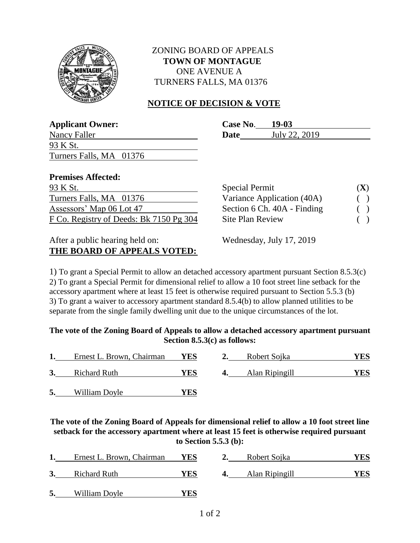

## ZONING BOARD OF APPEALS  **TOWN OF MONTAGUE** ONE AVENUE A TURNERS FALLS, MA 01376

## **NOTICE OF DECISION & VOTE**

**Applicant Owner: Case No**. **19-03**

| Applicant Owner:                        | Case No.<br>19-VJ            |     |
|-----------------------------------------|------------------------------|-----|
| Nancy Faller                            | July 22, 2019<br><b>Date</b> |     |
| 93 K St.                                |                              |     |
| Turners Falls, MA 01376                 |                              |     |
| <b>Premises Affected:</b>               |                              |     |
| 93 K St.                                | <b>Special Permit</b>        | (X) |
| Turners Falls, MA 01376                 | Variance Application (40A)   |     |
| Assessors' Map 06 Lot 47                | Section 6 Ch. 40A - Finding  |     |
| F Co. Registry of Deeds: Bk 7150 Pg 304 | <b>Site Plan Review</b>      |     |

# After a public hearing held on: Wednesday, July 17, 2019 **THE BOARD OF APPEALS VOTED:**

1) To grant a Special Permit to allow an detached accessory apartment pursuant Section 8.5.3(c) 2) To grant a Special Permit for dimensional relief to allow a 10 foot street line setback for the accessory apartment where at least 15 feet is otherwise required pursuant to Section 5.5.3 (b) 3) To grant a waiver to accessory apartment standard 8.5.4(b) to allow planned utilities to be separate from the single family dwelling unit due to the unique circumstances of the lot.

#### **The vote of the Zoning Board of Appeals to allow a detached accessory apartment pursuant Section 8.5.3(c) as follows:**

|    | Ernest L. Brown, Chairman | YES | Robert Sojka   | YES |
|----|---------------------------|-----|----------------|-----|
|    | <b>Richard Ruth</b>       | YES | Alan Ripingill | YES |
| 5. | William Doyle             | YES |                |     |

**The vote of the Zoning Board of Appeals for dimensional relief to allow a 10 foot street line setback for the accessory apartment where at least 15 feet is otherwise required pursuant to Section 5.5.3 (b):**

|    | Ernest L. Brown, Chairman | <b>YES</b> |    | Robert Sojka   | YES  |
|----|---------------------------|------------|----|----------------|------|
| 3. | <b>Richard Ruth</b>       | YES        | 4. | Alan Ripingill | YES. |
|    |                           |            |    |                |      |

**5.** William Doyle **YES**